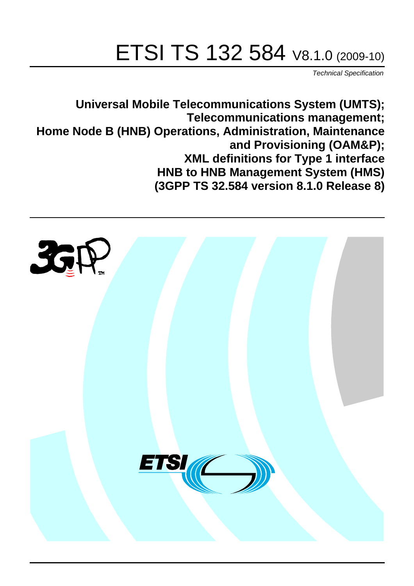# ETSI TS 132 584 V8.1.0 (2009-10)

*Technical Specification*

**Universal Mobile Telecommunications System (UMTS); Telecommunications management; Home Node B (HNB) Operations, Administration, Maintenance and Provisioning (OAM&P); XML definitions for Type 1 interface HNB to HNB Management System (HMS) (3GPP TS 32.584 version 8.1.0 Release 8)**

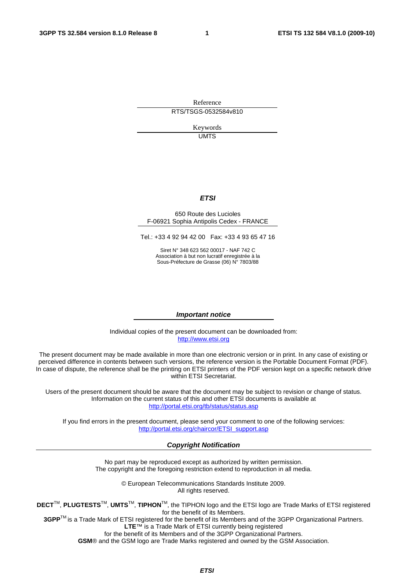Reference RTS/TSGS-0532584v810

> Keywords UMTS

### *ETSI*

#### 650 Route des Lucioles F-06921 Sophia Antipolis Cedex - FRANCE

Tel.: +33 4 92 94 42 00 Fax: +33 4 93 65 47 16

Siret N° 348 623 562 00017 - NAF 742 C Association à but non lucratif enregistrée à la Sous-Préfecture de Grasse (06) N° 7803/88

#### *Important notice*

Individual copies of the present document can be downloaded from: [http://www.etsi.org](http://www.etsi.org/)

The present document may be made available in more than one electronic version or in print. In any case of existing or perceived difference in contents between such versions, the reference version is the Portable Document Format (PDF). In case of dispute, the reference shall be the printing on ETSI printers of the PDF version kept on a specific network drive within ETSI Secretariat.

Users of the present document should be aware that the document may be subject to revision or change of status. Information on the current status of this and other ETSI documents is available at <http://portal.etsi.org/tb/status/status.asp>

If you find errors in the present document, please send your comment to one of the following services: [http://portal.etsi.org/chaircor/ETSI\\_support.asp](http://portal.etsi.org/chaircor/ETSI_support.asp)

### *Copyright Notification*

No part may be reproduced except as authorized by written permission. The copyright and the foregoing restriction extend to reproduction in all media.

> © European Telecommunications Standards Institute 2009. All rights reserved.

**DECT**TM, **PLUGTESTS**TM, **UMTS**TM, **TIPHON**TM, the TIPHON logo and the ETSI logo are Trade Marks of ETSI registered for the benefit of its Members.

**3GPP**TM is a Trade Mark of ETSI registered for the benefit of its Members and of the 3GPP Organizational Partners. **LTE**™ is a Trade Mark of ETSI currently being registered

for the benefit of its Members and of the 3GPP Organizational Partners.

**GSM**® and the GSM logo are Trade Marks registered and owned by the GSM Association.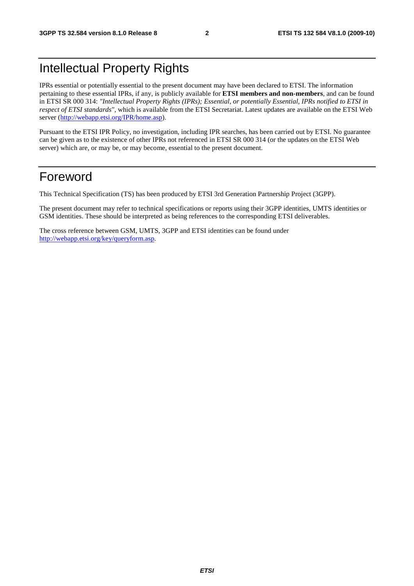### Intellectual Property Rights

IPRs essential or potentially essential to the present document may have been declared to ETSI. The information pertaining to these essential IPRs, if any, is publicly available for **ETSI members and non-members**, and can be found in ETSI SR 000 314: *"Intellectual Property Rights (IPRs); Essential, or potentially Essential, IPRs notified to ETSI in respect of ETSI standards"*, which is available from the ETSI Secretariat. Latest updates are available on the ETSI Web server ([http://webapp.etsi.org/IPR/home.asp\).](http://webapp.etsi.org/IPR/home.asp)

Pursuant to the ETSI IPR Policy, no investigation, including IPR searches, has been carried out by ETSI. No guarantee can be given as to the existence of other IPRs not referenced in ETSI SR 000 314 (or the updates on the ETSI Web server) which are, or may be, or may become, essential to the present document.

### Foreword

This Technical Specification (TS) has been produced by ETSI 3rd Generation Partnership Project (3GPP).

The present document may refer to technical specifications or reports using their 3GPP identities, UMTS identities or GSM identities. These should be interpreted as being references to the corresponding ETSI deliverables.

The cross reference between GSM, UMTS, 3GPP and ETSI identities can be found under [http://webapp.etsi.org/key/queryform.asp.](http://webapp.etsi.org/key/queryform.asp)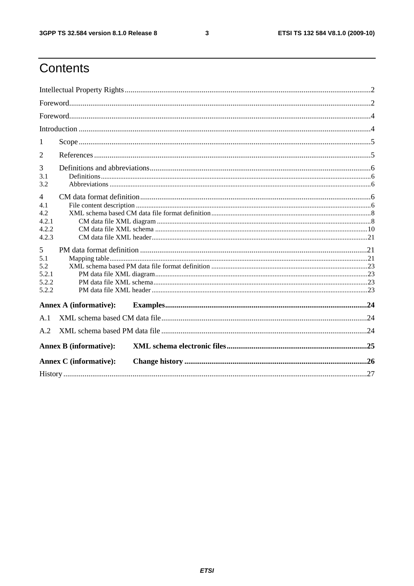$\mathbf{3}$ 

## Contents

| 1              |                               |  |  |  |  |
|----------------|-------------------------------|--|--|--|--|
| 2              |                               |  |  |  |  |
| 3              |                               |  |  |  |  |
| 3.1<br>3.2     |                               |  |  |  |  |
| $\overline{4}$ |                               |  |  |  |  |
| 4.1            |                               |  |  |  |  |
| 4.2            |                               |  |  |  |  |
| 4.2.1          |                               |  |  |  |  |
| 4.2.2          |                               |  |  |  |  |
| 4.2.3          |                               |  |  |  |  |
| 5              |                               |  |  |  |  |
| 5.1            |                               |  |  |  |  |
| 5.2            |                               |  |  |  |  |
| 5.2.1          |                               |  |  |  |  |
| 5.2.2          |                               |  |  |  |  |
| 5.2.2          |                               |  |  |  |  |
|                | <b>Annex A (informative):</b> |  |  |  |  |
| A.1            |                               |  |  |  |  |
| A.2            |                               |  |  |  |  |
|                | <b>Annex B (informative):</b> |  |  |  |  |
|                | <b>Annex C</b> (informative): |  |  |  |  |
|                |                               |  |  |  |  |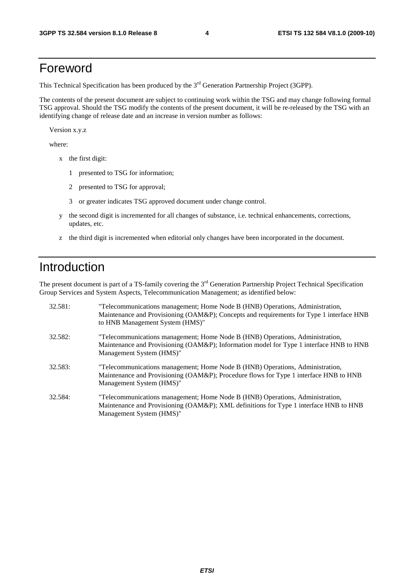### Foreword

This Technical Specification has been produced by the 3<sup>rd</sup> Generation Partnership Project (3GPP).

The contents of the present document are subject to continuing work within the TSG and may change following formal TSG approval. Should the TSG modify the contents of the present document, it will be re-released by the TSG with an identifying change of release date and an increase in version number as follows:

Version x.y.z

where:

- x the first digit:
	- 1 presented to TSG for information;
	- 2 presented to TSG for approval;
	- 3 or greater indicates TSG approved document under change control.
- y the second digit is incremented for all changes of substance, i.e. technical enhancements, corrections, updates, etc.
- z the third digit is incremented when editorial only changes have been incorporated in the document.

### Introduction

The present document is part of a TS-family covering the 3<sup>rd</sup> Generation Partnership Project Technical Specification Group Services and System Aspects, Telecommunication Management; as identified below:

| 32.581: | "Telecommunications management; Home Node B (HNB) Operations, Administration,<br>Maintenance and Provisioning (OAM&P); Concepts and requirements for Type 1 interface HNB<br>to HNB Management System (HMS)" |
|---------|--------------------------------------------------------------------------------------------------------------------------------------------------------------------------------------------------------------|
| 32.582: | "Telecommunications management; Home Node B (HNB) Operations, Administration,<br>Maintenance and Provisioning (OAM&P); Information model for Type 1 interface HNB to HNB<br>Management System (HMS)"         |
| 32.583: | "Telecommunications management; Home Node B (HNB) Operations, Administration,<br>Maintenance and Provisioning (OAM&P); Procedure flows for Type 1 interface HNB to HNB<br>Management System (HMS)"           |
| 32.584: | "Telecommunications management; Home Node B (HNB) Operations, Administration,<br>Maintenance and Provisioning (OAM&P); XML definitions for Type 1 interface HNB to HNB<br>Management System (HMS)"           |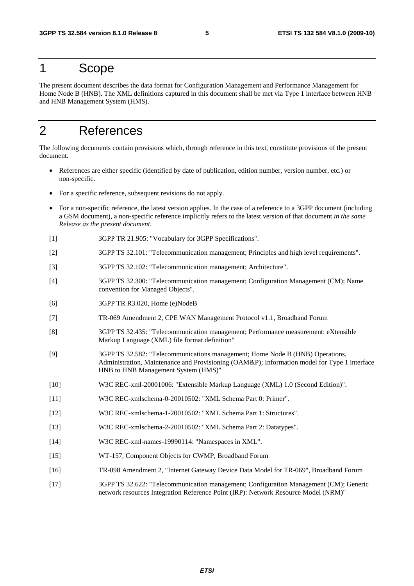### 1 Scope

The present document describes the data format for Configuration Management and Performance Management for Home Node B (HNB). The XML definitions captured in this document shall be met via Type 1 interface between HNB and HNB Management System (HMS).

### 2 References

The following documents contain provisions which, through reference in this text, constitute provisions of the present document.

- References are either specific (identified by date of publication, edition number, version number, etc.) or non-specific.
- For a specific reference, subsequent revisions do not apply.
- For a non-specific reference, the latest version applies. In the case of a reference to a 3GPP document (including a GSM document), a non-specific reference implicitly refers to the latest version of that document *in the same Release as the present document*.
- [1] 3GPP TR 21.905: "Vocabulary for 3GPP Specifications".
- [2] 3GPP TS 32.101: "Telecommunication management; Principles and high level requirements".
- [3] 3GPP TS 32.102: "Telecommunication management; Architecture".
- [4] 3GPP TS 32.300: "Telecommunication management; Configuration Management (CM); Name convention for Managed Objects".
- [6] 3GPP TR R3.020, Home (e)NodeB
- [7] TR-069 Amendment 2, CPE WAN Management Protocol v1.1, Broadband Forum
- [8] 3GPP TS 32.435: "Telecommunication management; Performance measurement: eXtensible Markup Language (XML) file format definition"
- [9] 3GPP TS 32.582: "Telecommunications management; Home Node B (HNB) Operations, Administration, Maintenance and Provisioning (OAM&P); Information model for Type 1 interface HNB to HNB Management System (HMS)"
- [10] W3C REC-xml-20001006: "Extensible Markup Language (XML) 1.0 (Second Edition)".
- [11] W3C REC-xmlschema-0-20010502: "XML Schema Part 0: Primer".
- [12] W3C REC-xmlschema-1-20010502: "XML Schema Part 1: Structures".
- [13] W3C REC-xmlschema-2-20010502: "XML Schema Part 2: Datatypes".
- [14] W3C REC-xml-names-19990114: "Namespaces in XML".
- [15] WT-157, Component Objects for CWMP, Broadband Forum
- [16] TR-098 Amendment 2, "Internet Gateway Device Data Model for TR-069", Broadband Forum
- [17] 3GPP TS 32.622: "Telecommunication management; Configuration Management (CM); Generic network resources Integration Reference Point (IRP): Network Resource Model (NRM)"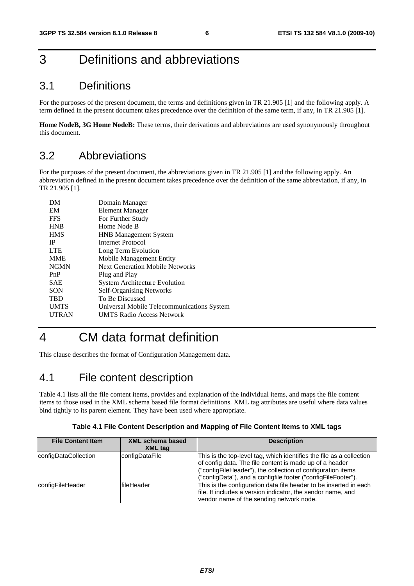### 3 Definitions and abbreviations

### 3.1 Definitions

For the purposes of the present document, the terms and definitions given in TR 21.905 [1] and the following apply. A term defined in the present document takes precedence over the definition of the same term, if any, in TR 21.905 [1].

**Home NodeB, 3G Home NodeB:** These terms, their derivations and abbreviations are used synonymously throughout this document.

### 3.2 Abbreviations

For the purposes of the present document, the abbreviations given in TR 21.905 [1] and the following apply. An abbreviation defined in the present document takes precedence over the definition of the same abbreviation, if any, in TR 21.905 [1].

| DM           | Domain Manager                             |
|--------------|--------------------------------------------|
| EM           | Element Manager                            |
| <b>FFS</b>   | For Further Study                          |
| <b>HNB</b>   | Home Node B                                |
| <b>HMS</b>   | <b>HNB</b> Management System               |
| <b>IP</b>    | Internet Protocol                          |
| <b>LTE</b>   | Long Term Evolution                        |
| <b>MME</b>   | Mobile Management Entity                   |
| <b>NGMN</b>  | <b>Next Generation Mobile Networks</b>     |
| PnP          | Plug and Play                              |
| <b>SAE</b>   | <b>System Architecture Evolution</b>       |
| <b>SON</b>   | <b>Self-Organising Networks</b>            |
| <b>TBD</b>   | To Be Discussed                            |
| <b>UMTS</b>  | Universal Mobile Telecommunications System |
| <b>UTRAN</b> | <b>UMTS Radio Access Network</b>           |
|              |                                            |

## 4 CM data format definition

This clause describes the format of Configuration Management data.

### 4.1 File content description

Table 4.1 lists all the file content items, provides and explanation of the individual items, and maps the file content items to those used in the XML schema based file format definitions. XML tag attributes are useful where data values bind tightly to its parent element. They have been used where appropriate.

| <b>File Content Item</b> | <b>XML schema based</b><br>XML tag | <b>Description</b>                                                                                                                                                                                                                                              |
|--------------------------|------------------------------------|-----------------------------------------------------------------------------------------------------------------------------------------------------------------------------------------------------------------------------------------------------------------|
| configDataCollection     | configDataFile                     | This is the top-level tag, which identifies the file as a collection<br>of config data. The file content is made up of a header<br>("configFileHeader"), the collection of configuration items<br>("configData"), and a configfile footer ("configFileFooter"). |
| configFileHeader         | fileHeader                         | This is the configuration data file header to be inserted in each<br>file. It includes a version indicator, the sendor name, and<br>vendor name of the sending network node.                                                                                    |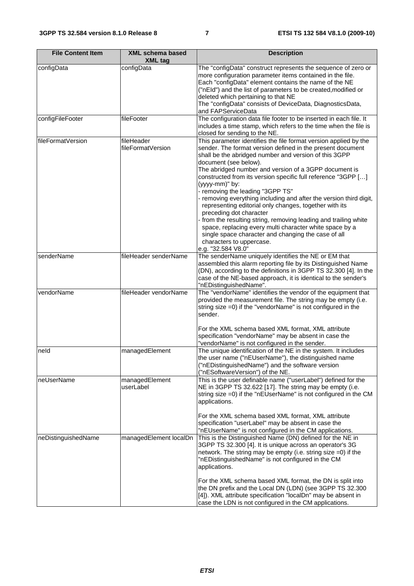| <b>File Content Item</b> | <b>XML schema based</b><br><b>XML tag</b> | <b>Description</b>                                                                                                                                                                                                                                                                                                                                                                                                                                                                                                                                                                                                                                                                                                                                                        |
|--------------------------|-------------------------------------------|---------------------------------------------------------------------------------------------------------------------------------------------------------------------------------------------------------------------------------------------------------------------------------------------------------------------------------------------------------------------------------------------------------------------------------------------------------------------------------------------------------------------------------------------------------------------------------------------------------------------------------------------------------------------------------------------------------------------------------------------------------------------------|
| configData               | configData                                | The "configData" construct represents the sequence of zero or<br>more configuration parameter items contained in the file.<br>Each "configData" element contains the name of the NE<br>("nEId") and the list of parameters to be created, modified or<br>deleted which pertaining to that NE<br>The "configData" consists of DeviceData, DiagnosticsData,<br>and FAPServiceData                                                                                                                                                                                                                                                                                                                                                                                           |
| configFileFooter         | fileFooter                                | The configuration data file footer to be inserted in each file. It<br>includes a time stamp, which refers to the time when the file is<br>closed for sending to the NE.                                                                                                                                                                                                                                                                                                                                                                                                                                                                                                                                                                                                   |
| fileFormatVersion        | fileHeader<br>fileFormatVersion           | This parameter identifies the file format version applied by the<br>sender. The format version defined in the present document<br>shall be the abridged number and version of this 3GPP<br>document (see below).<br>The abridged number and version of a 3GPP document is<br>constructed from its version specific full reference "3GPP []<br>(yyyy-mm)" by:<br>- removing the leading "3GPP TS"<br>removing everything including and after the version third digit,<br>representing editorial only changes, together with its<br>preceding dot character<br>from the resulting string, removing leading and trailing white<br>space, replacing every multi character white space by a<br>single space character and changing the case of all<br>characters to uppercase. |
| senderName               | fileHeader senderName                     | e.g. "32.584 V8.0"<br>The senderName uniquely identifies the NE or EM that<br>assembled this alarm reporting file by its Distinguished Name<br>(DN), according to the definitions in 3GPP TS 32.300 [4]. In the<br>case of the NE-based approach, it is identical to the sender's<br>"nEDistinguishedName".                                                                                                                                                                                                                                                                                                                                                                                                                                                               |
| vendorName               | fileHeader vendorName                     | The "vendorName" identifies the vendor of the equipment that<br>provided the measurement file. The string may be empty (i.e.<br>string size =0) if the "vendorName" is not configured in the<br>sender.<br>For the XML schema based XML format, XML attribute<br>specification "vendorName" may be absent in case the<br>"vendorName" is not configured in the sender.                                                                                                                                                                                                                                                                                                                                                                                                    |
| neld                     | managedElement                            | The unique identification of the NE in the system. It includes<br>the user name ("nEUserName"), the distinguished name<br>("nEDistinguishedName") and the software version<br>("nESoftwareVersion") of the NE.                                                                                                                                                                                                                                                                                                                                                                                                                                                                                                                                                            |
| neUserName               | managedElement<br>userLabel               | This is the user definable name ("userLabel") defined for the<br>NE in 3GPP TS 32.622 [17]. The string may be empty (i.e.<br>string size =0) if the "nEUserName" is not configured in the CM<br>applications.<br>For the XML schema based XML format, XML attribute<br>specification "userLabel" may be absent in case the<br>"nEUserName" is not configured in the CM applications.                                                                                                                                                                                                                                                                                                                                                                                      |
| neDistinguishedName      | managedElement localDn                    | This is the Distinguished Name (DN) defined for the NE in<br>3GPP TS 32.300 [4]. It is unique across an operator's 3G<br>network. The string may be empty (i.e. string size =0) if the<br>"nEDistinguishedName" is not configured in the CM<br>applications.<br>For the XML schema based XML format, the DN is split into<br>the DN prefix and the Local DN (LDN) (see 3GPP TS 32.300<br>[4]). XML attribute specification "localDn" may be absent in<br>case the LDN is not configured in the CM applications.                                                                                                                                                                                                                                                           |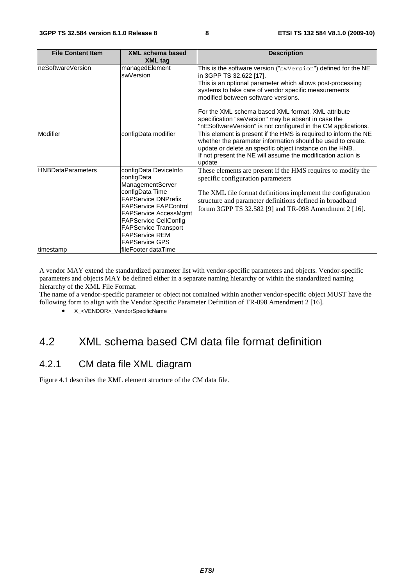| <b>File Content Item</b> | XML schema based<br><b>XML tag</b>                                                                                                                                                                                                                                                        | <b>Description</b>                                                                                                                                                                                                                                                                                                                                                                                                                  |
|--------------------------|-------------------------------------------------------------------------------------------------------------------------------------------------------------------------------------------------------------------------------------------------------------------------------------------|-------------------------------------------------------------------------------------------------------------------------------------------------------------------------------------------------------------------------------------------------------------------------------------------------------------------------------------------------------------------------------------------------------------------------------------|
| IneSoftwareVersion       | managedElement<br>swVersion                                                                                                                                                                                                                                                               | This is the software version ("swVersion") defined for the NE<br>in 3GPP TS 32.622 [17].<br>This is an optional parameter which allows post-processing<br>systems to take care of vendor specific measurements<br>modified between software versions.<br>For the XML schema based XML format, XML attribute<br>specification "swVersion" may be absent in case the<br>"nESoftwareVersion" is not configured in the CM applications. |
| Modifier                 | configData modifier                                                                                                                                                                                                                                                                       | This element is present if the HMS is required to inform the NE<br>whether the parameter information should be used to create,<br>update or delete an specific object instance on the HNB<br>If not present the NE will assume the modification action is<br>update                                                                                                                                                                 |
| <b>HNBDataParameters</b> | configData DeviceInfo<br>configData<br>ManagementServer<br>configData Time<br><b>FAPService DNPrefix</b><br><b>FAPService FAPControl</b><br><b>FAPService AccessMgmt</b><br><b>FAPService CellConfig</b><br><b>FAPService Transport</b><br><b>FAPService REM</b><br><b>FAPService GPS</b> | These elements are present if the HMS requires to modify the<br>specific configuration parameters<br>The XML file format definitions implement the configuration<br>structure and parameter definitions defined in broadband<br>forum 3GPP TS 32.582 [9] and TR-098 Amendment 2 [16].                                                                                                                                               |
| timestamp                | fileFooter dataTime                                                                                                                                                                                                                                                                       |                                                                                                                                                                                                                                                                                                                                                                                                                                     |

A vendor MAY extend the standardized parameter list with vendor-specific parameters and objects. Vendor-specific parameters and objects MAY be defined either in a separate naming hierarchy or within the standardized naming hierarchy of the XML File Format.

The name of a vendor-specific parameter or object not contained within another vendor-specific object MUST have the following form to align with the Vendor Specific Parameter Definition of TR-098 Amendment 2 [16].

• X <VENDOR> VendorSpecificName

### 4.2 XML schema based CM data file format definition

### 4.2.1 CM data file XML diagram

Figure 4.1 describes the XML element structure of the CM data file.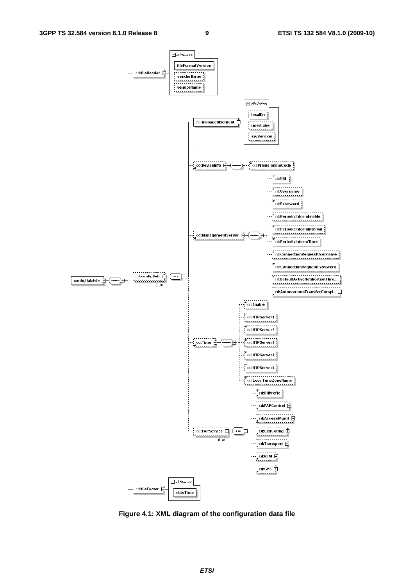

**Figure 4.1: XML diagram of the configuration data file**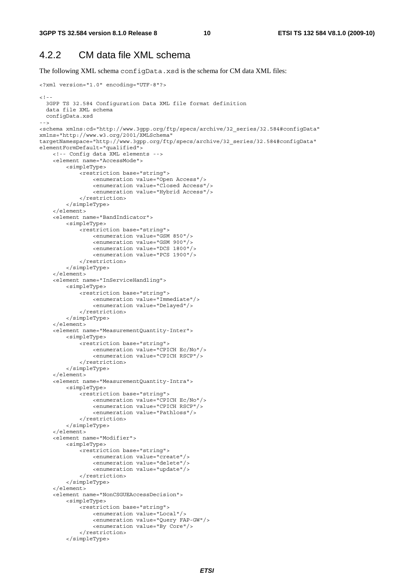### 4.2.2 CM data file XML schema

The following XML schema configData.xsd is the schema for CM data XML files:

```
<?xml version="1.0" encoding="UTF-8"?> 
<! - -
   3GPP TS 32.584 Configuration Data XML file format definition 
   data file XML schema 
  configData.xsd 
--> 
<schema xmlns:cd="http://www.3gpp.org/ftp/specs/archive/32_series/32.584#configData" 
xmlns="http://www.w3.org/2001/XMLSchema" 
targetNamespace="http://www.3gpp.org/ftp/specs/archive/32_series/32.584#configData" 
elementFormDefault="qualified"> 
     <!-- Config data XML elements --> 
     <element name="AccessMode"> 
         <simpleType> 
              <restriction base="string"> 
                  <enumeration value="Open Access"/> 
                  <enumeration value="Closed Access"/> 
                  <enumeration value="Hybrid Access"/> 
              </restriction> 
         </simpleType> 
     </element> 
     <element name="BandIndicator"> 
         <simpleType> 
              <restriction base="string"> 
                  <enumeration value="GSM 850"/> 
                  <enumeration value="GSM 900"/> 
                  <enumeration value="DCS 1800"/> 
                  <enumeration value="PCS 1900"/> 
              </restriction> 
         </simpleType> 
     </element> 
     <element name="InServiceHandling"> 
         <simpleType> 
              <restriction base="string"> 
                  <enumeration value="Immediate"/> 
                  <enumeration value="Delayed"/> 
              </restriction> 
         </simpleType> 
     </element> 
     <element name="MeasurementQuantity-Inter"> 
         <simpleType> 
              <restriction base="string"> 
                  <enumeration value="CPICH Ec/No"/> 
                  <enumeration value="CPICH RSCP"/> 
              </restriction> 
          </simpleType> 
     </element> 
     <element name="MeasurementQuantity-Intra"> 
         <simpleType> 
              <restriction base="string"> 
                  <enumeration value="CPICH Ec/No"/> 
                  <enumeration value="CPICH RSCP"/> 
                  <enumeration value="Pathloss"/> 
              </restriction> 
         </simpleType> 
     </element> 
     <element name="Modifier"> 
         <simpleType> 
              <restriction base="string"> 
                  <enumeration value="create"/> 
                  <enumeration value="delete"/> 
                  <enumeration value="update"/> 
              </restriction> 
          </simpleType> 
     </element> 
     <element name="NonCSGUEAccessDecision"> 
         <simpleType> 
              <restriction base="string"> 
                  <enumeration value="Local"/> 
                  <enumeration value="Query FAP-GW"/> 
                  <enumeration value="By Core"/> 
              </restriction> 
          </simpleType>
```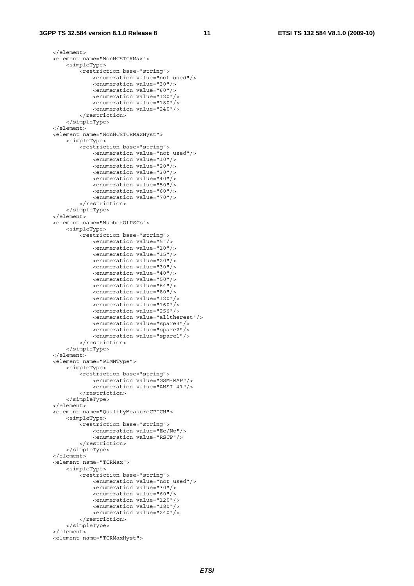#### **3GPP TS 32.584 version 8.1.0 Release 8 11 ETSI TS 132 584 V8.1.0 (2009-10)**

```
 </element> 
 <element name="NonHCSTCRMax"> 
     <simpleType> 
         <restriction base="string"> 
              <enumeration value="not used"/> 
              <enumeration value="30"/> 
              <enumeration value="60"/> 
              <enumeration value="120"/> 
              <enumeration value="180"/> 
              <enumeration value="240"/> 
         </restriction> 
     </simpleType> 
 </element> 
 <element name="NonHCSTCRMaxHyst"> 
     <simpleType> 
         <restriction base="string"> 
              <enumeration value="not used"/> 
              <enumeration value="10"/> 
              <enumeration value="20"/> 
              <enumeration value="30"/> 
              <enumeration value="40"/> 
              <enumeration value="50"/> 
              <enumeration value="60"/> 
              <enumeration value="70"/> 
         </restriction> 
     </simpleType> 
 </element> 
 <element name="NumberOfPSCs"> 
     <simpleType> 
         <restriction base="string"> 
              <enumeration value="5"/> 
              <enumeration value="10"/> 
              <enumeration value="15"/> 
              <enumeration value="20"/> 
              <enumeration value="30"/> 
              <enumeration value="40"/> 
              <enumeration value="50"/> 
              <enumeration value="64"/> 
              <enumeration value="80"/> 
              <enumeration value="120"/> 
              <enumeration value="160"/> 
              <enumeration value="256"/> 
              <enumeration value="alltherest"/> 
              <enumeration value="spare3"/> 
              <enumeration value="spare2"/> 
              <enumeration value="spare1"/> 
         </restriction> 
     </simpleType> 
 </element> 
 <element name="PLMNType"> 
     <simpleType> 
         <restriction base="string"> 
              <enumeration value="GSM-MAP"/> 
              <enumeration value="ANSI-41"/> 
         </restriction> 
     </simpleType> 
 </element> 
 <element name="QualityMeasureCPICH"> 
     <simpleType> 
         <restriction base="string"> 
              <enumeration value="Ec/No"/> 
              <enumeration value="RSCP"/> 
         </restriction> 
     </simpleType> 
\epsilon/element>
 <element name="TCRMax"> 
     <simpleType> 
         <restriction base="string"> 
              <enumeration value="not used"/> 
              <enumeration value="30"/> 
              <enumeration value="60"/> 
              <enumeration value="120"/> 
              <enumeration value="180"/> 
              <enumeration value="240"/> 
          </restriction> 
     </simpleType> 
 </element> 
 <element name="TCRMaxHyst">
```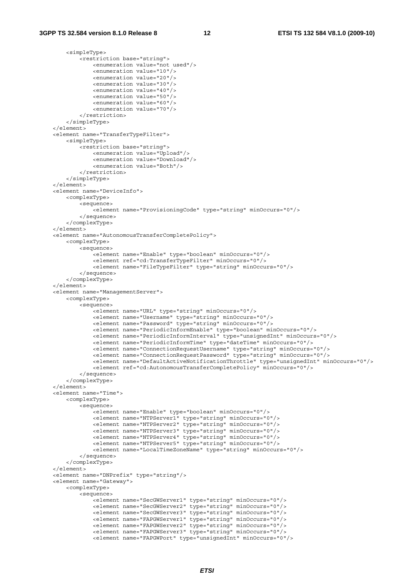<simpleType>

```
 <restriction base="string"> 
                 <enumeration value="not used"/> 
                 <enumeration value="10"/> 
                 <enumeration value="20"/> 
                 <enumeration value="30"/> 
                 <enumeration value="40"/> 
                 <enumeration value="50"/> 
                 <enumeration value="60"/> 
                 <enumeration value="70"/> 
             </restriction> 
         </simpleType> 
    </element> 
    <element name="TransferTypeFilter"> 
         <simpleType> 
             <restriction base="string"> 
                 <enumeration value="Upload"/> 
                 <enumeration value="Download"/> 
                 <enumeration value="Both"/> 
             </restriction> 
         </simpleType> 
    </element> 
    <element name="DeviceInfo"> 
         <complexType> 
             <sequence> 
                 <element name="ProvisioningCode" type="string" minOccurs="0"/> 
             </sequence> 
         </complexType> 
    </element> 
    <element name="AutonomousTransferCompletePolicy"> 
        <complexType> 
             <sequence> 
                .<br><element name="Enable" type="boolean" minOccurs="0"/>
                 <element ref="cd:TransferTypeFilter" minOccurs="0"/> 
                 <element name="FileTypeFilter" type="string" minOccurs="0"/> 
             </sequence> 
         </complexType> 
    </element> 
    <element name="ManagementServer"> 
         <complexType> 
             <sequence> 
                -<br><element name="URL" type="string" minOccurs="0"/>
                 <element name="Username" type="string" minOccurs="0"/> 
                 <element name="Password" type="string" minOccurs="0"/> 
                 <element name="PeriodicInformEnable" type="boolean" minOccurs="0"/> 
                 <element name="PeriodicInformInterval" type="unsignedInt" minOccurs="0"/> 
                 <element name="PeriodicInformTime" type="dateTime" minOccurs="0"/> 
                 <element name="ConnectionRequestUsername" type="string" minOccurs="0"/> 
                 <element name="ConnectionRequestPassword" type="string" minOccurs="0"/> 
                 <element name="DefaultActiveNotificationThrottle" type="unsignedInt" minOccurs="0"/> 
                 <element ref="cd:AutonomousTransferCompletePolicy" minOccurs="0"/> 
             </sequence> 
         </complexType> 
     </element> 
    <element name="Time"> 
        <complexType> 
             <sequence> 
                 <element name="Enable" type="boolean" minOccurs="0"/> 
 <element name="NTPServer1" type="string" minOccurs="0"/> 
 <element name="NTPServer2" type="string" minOccurs="0"/> 
                 <element name="NTPServer3" type="string" minOccurs="0"/> 
                 <element name="NTPServer4" type="string" minOccurs="0"/> 
                 <element name="NTPServer5" type="string" minOccurs="0"/> 
                 <element name="LocalTimeZoneName" type="string" minOccurs="0"/> 
             </sequence> 
         </complexType> 
     </element> 
    <element name="DNPrefix" type="string"/> 
    <element name="Gateway"> 
         <complexType> 
             <sequence> 
                 <element name="SecGWServer1" type="string" minOccurs="0"/> 
                 <element name="SecGWServer2" type="string" minOccurs="0"/> 
 <element name="SecGWServer3" type="string" minOccurs="0"/> 
 <element name="FAPGWServer1" type="string" minOccurs="0"/> 
                 <element name="FAPGWServer2" type="string" minOccurs="0"/> 
                 <element name="FAPGWServer3" type="string" minOccurs="0"/> 
                 <element name="FAPGWPort" type="unsignedInt" minOccurs="0"/>
```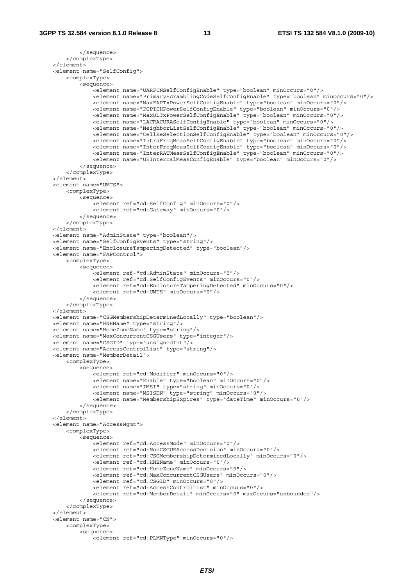```
 </sequence> 
     </complexType> 
 </element> 
 <element name="SelfConfig"> 
     <complexType> 
         <sequence> 
            -<br>-<element name="UARFCNSelfConfigEnable" type="boolean" minOccurs="0"/>
             <element name="PrimaryScramblingCodeSelfConfigEnable" type="boolean" minOccurs="0"/> 
             <element name="MaxFAPTxPowerSelfConfigEnable" type="boolean" minOccurs="0"/> 
              <element name="PCPICHPowerSelfConfigEnable" type="boolean" minOccurs="0"/> 
             <element name="MaxULTxPowerSelfConfigEnable" type="boolean" minOccurs="0"/> 
             <element name="LACRACURASelfConfigEnable" type="boolean" minOccurs="0"/> 
             <element name="NeighborListSelfConfigEnable" type="boolean" minOccurs="0"/> 
              <element name="CellReSelectionSelfConfigEnable" type="boolean" minOccurs="0"/> 
             <element name="IntraFreqMeasSelfConfigEnable" type="boolean" minOccurs="0"/> 
             <element name="InterFreqMeasSelfConfigEnable" type="boolean" minOccurs="0"/> 
             <element name="InterRATMeasSelfConfigEnable" type="boolean" minOccurs="0"/> 
              <element name="UEInternalMeasConfigEnable" type="boolean" minOccurs="0"/> 
         </sequence> 
     </complexType> 
 </element> 
 <element name="UMTS"> 
     <complexType> 
         <sequence> 
            .<br><element ref="cd:SelfConfig" minOccurs="0"/>
              <element ref="cd:Gateway" minOccurs="0"/> 
         </sequence> 
     </complexType> 
 </element> 
 <element name="AdminState" type="boolean"/> 
 <element name="SelfConfigEvents" type="string"/> 
 <element name="EnclosureTamperingDetected" type="boolean"/> 
 <element name="FAPControl"> 
     <complexType> 
         <sequence> 
             <element ref="cd:AdminState" minOccurs="0"/> 
             <element ref="cd:SelfConfigEvents" minOccurs="0"/> 
             <element ref="cd:EnclosureTamperingDetected" minOccurs="0"/> 
             <element ref="cd:UMTS" minOccurs="0"/> 
         </sequence> 
     </complexType> 
 </element> 
 <element name="CSGMembershipDeterminedLocally" type="boolean"/> 
 <element name="HNBName" type="string"/> 
 <element name="HomeZoneName" type="string"/> 
 <element name="MaxConcurrentCSGUsers" type="integer"/> 
 <element name="CSGID" type="unsignedInt"/> 
 <element name="AccessControlList" type="string"/> 
 <element name="MemberDetail"> 
     <complexType> 
         <sequence> 
             <element ref="cd:Modifier" minOccurs="0"/> 
              <element name="Enable" type="boolean" minOccurs="0"/> 
              <element name="IMSI" type="string" minOccurs="0"/> 
             <element name="MSISDN" type="string" minOccurs="0"/> 
             <element name="MembershipExpires" type="dateTime" minOccurs="0"/> 
         </sequence> 
     </complexType> 
 </element> 
 <element name="AccessMgmt"> 
     <complexType> 
         <sequence> 
             <element ref="cd:AccessMode" minOccurs="0"/> 
             <element ref="cd:NonCSGUEAccessDecision" minOccurs="0"/> 
             <element ref="cd:CSGMembershipDeterminedLocally" minOccurs="0"/> 
             <element ref="cd:HNBName" minOccurs="0"/> 
              <element ref="cd:HomeZoneName" minOccurs="0"/> 
             <element ref="cd:MaxConcurrentCSGUsers" minOccurs="0"/> 
             <element ref="cd:CSGID" minOccurs="0"/> 
              <element ref="cd:AccessControlList" minOccurs="0"/> 
              <element ref="cd:MemberDetail" minOccurs="0" maxOccurs="unbounded"/> 
         </sequence> 
     </complexType> 
 </element> 
 <element name="CN"> 
     <complexType> 
         <sequence> 
            .<br><element ref="cd:PLMNType" minOccurs="0"/>
```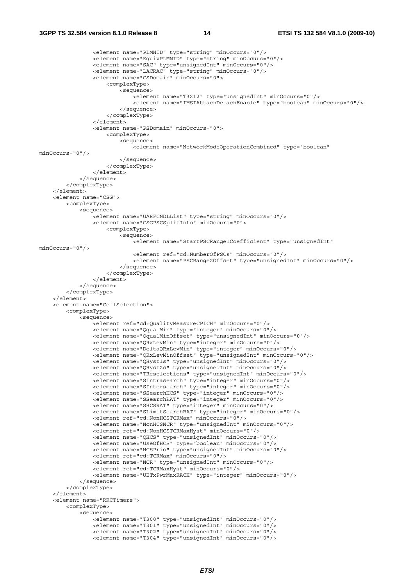#### **3GPP TS 32.584 version 8.1.0 Release 8 14 ETSI TS 132 584 V8.1.0 (2009-10)**

```
 <element name="PLMNID" type="string" minOccurs="0"/> 
                  <element name="EquivPLMNID" type="string" minOccurs="0"/> 
                  <element name="SAC" type="unsignedInt" minOccurs="0"/> 
                  <element name="LACRAC" type="string" minOccurs="0"/> 
                  <element name="CSDomain" minOccurs="0"> 
                      <complexType> 
                          <sequence> 
                              <element name="T3212" type="unsignedInt" minOccurs="0"/> 
                              <element name="IMSIAttachDetachEnable" type="boolean" minOccurs="0"/> 
                          </sequence> 
                      </complexType> 
                  </element> 
                  <element name="PSDomain" minOccurs="0"> 
                      <complexType> 
                          <sequence> 
                             -<br><element name="NetworkModeOperationCombined" type="boolean"
minOrcures=10"/>
                          </sequence> 
                      </complexType> 
                 </element> 
             </sequence> 
         </complexType> 
     </element> 
     <element name="CSG"> 
         <complexType> 
             <sequence> 
                  <element name="UARFCNDLList" type="string" minOccurs="0"/> 
                  <element name="CSGPSCSplitInfo" minOccurs="0"> 
                      <complexType> 
                          <sequence> 
                             _<br><element name="StartPSCRange1Coefficient" type="unsignedInt"
minOccurs="0"/> 
                              <element ref="cd:NumberOfPSCs" minOccurs="0"/> 
                              <element name="PSCRange2Offset" type="unsignedInt" minOccurs="0"/> 
                          </sequence> 
                      </complexType> 
                  </element> 
             </sequence> 
         </complexType> 
     </element> 
     <element name="CellSelection"> 
         <complexType> 
             <sequence> 
                  <element ref="cd:QualityMeasureCPICH" minOccurs="0"/> 
                  <element name="QqualMin" type="integer" minOccurs="0"/> 
                  <element name="QqualMinOffset" type="unsignedInt" minOccurs="0"/> 
                  <element name="QRxLevMin" type="integer" minOccurs="0"/> 
                  <element name="DeltaQRxLevMin" type="integer" minOccurs="0"/> 
                  <element name="QRxLevMinOffset" type="unsignedInt" minOccurs="0"/> 
                  <element name="QHyst1s" type="unsignedInt" minOccurs="0"/> 
                  <element name="QHyst2s" type="unsignedInt" minOccurs="0"/> 
                  <element name="TReselections" type="unsignedInt" minOccurs="0"/> 
                  <element name="SIntrasearch" type="integer" minOccurs="0"/> 
                  <element name="SIntersearch" type="integer" minOccurs="0"/> 
                  <element name="SSearchHCS" type="integer" minOccurs="0"/> 
                  <element name="SSearchRAT" type="integer" minOccurs="0"/> 
                  <element name="SHCSRAT" type="integer" minOccurs="0"/> 
                  <element name="SLimitSearchRAT" type="integer" minOccurs="0"/> 
                  <element ref="cd:NonHCSTCRMax" minOccurs="0"/> 
                  <element name="NonHCSNCR" type="unsignedInt" minOccurs="0"/> 
                  <element ref="cd:NonHCSTCRMaxHyst" minOccurs="0"/> 
                  <element name="QHCS" type="unsignedInt" minOccurs="0"/> 
                  <element name="UseOfHCS" type="boolean" minOccurs="0"/> 
                  <element name="HCSPrio" type="unsignedInt" minOccurs="0"/> 
                  <element ref="cd:TCRMax" minOccurs="0"/> 
                  <element name="NCR" type="unsignedInt" minOccurs="0"/> 
                  <element ref="cd:TCRMaxHyst" minOccurs="0"/> 
                  <element name="UETxPwrMaxRACH" type="integer" minOccurs="0"/> 
             </sequence> 
         </complexType> 
     </element> 
     <element name="RRCTimers"> 
         <complexType> 
             <sequence> 
                  <element name="T300" type="unsignedInt" minOccurs="0"/> 
                  <element name="T301" type="unsignedInt" minOccurs="0"/> 
 <element name="T302" type="unsignedInt" minOccurs="0"/> 
 <element name="T304" type="unsignedInt" minOccurs="0"/>
```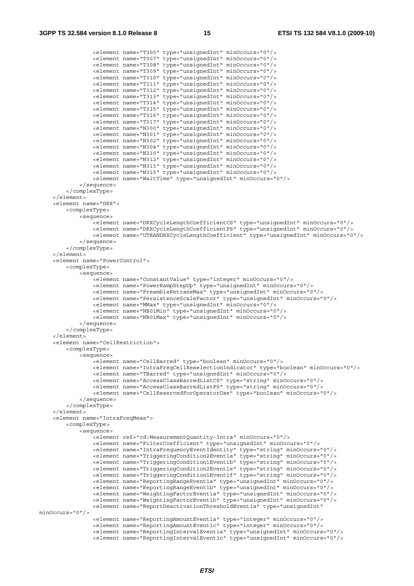<element name="T305" type="unsignedInt" minOccurs="0"/> <element name="T307" type="unsignedInt" minOccurs="0"/> <element name="T308" type="unsignedInt" minOccurs="0"/> <element name="T309" type="unsignedInt" minOccurs="0"/> <element name="T310" type="unsignedInt" minOccurs="0"/> <element name="T311" type="unsignedInt" minOccurs="0"/> <element name="T312" type="unsignedInt" minOccurs="0"/> <element name="T313" type="unsignedInt" minOccurs="0"/> <element name="T314" type="unsignedInt" minOccurs="0"/> <element name="T315" type="unsignedInt" minOccurs="0"/> <element name="T316" type="unsignedInt" minOccurs="0"/> <element name="T317" type="unsignedInt" minOccurs="0"/> <element name="N300" type="unsignedInt" minOccurs="0"/> <element name="N301" type="unsignedInt" minOccurs="0"/> <element name="N302" type="unsignedInt" minOccurs="0"/> <element name="N304" type="unsignedInt" minOccurs="0"/> <element name="N310" type="unsignedInt" minOccurs="0"/> <element name="N312" type="unsignedInt" minOccurs="0"/> <element name="N313" type="unsignedInt" minOccurs="0"/> <element name="N315" type="unsignedInt" minOccurs="0"/> <element name="WaitTime" type="unsignedInt" minOccurs="0"/> </sequence> </complexType> </element> <element name="DRX"> <complexType> <sequence> <element name="DRXCycleLengthCoefficientCS" type="unsignedInt" minOccurs="0"/> <element name="DRXCycleLengthCoefficientPS" type="unsignedInt" minOccurs="0"/> <element name="UTRANDRXCycleLengthCoefficient" type="unsignedInt" minOccurs="0"/> </sequence> </complexType> </element> <element name="PowerControl"> <complexType> <sequence> <element name="ConstantValue" type="integer" minOccurs="0"/> <element name="PowerRampStepUp" type="unsignedInt" minOccurs="0"/> <element name="PreambleRetransMax" type="unsignedInt" minOccurs="0"/> <element name="PersistenceScaleFactor" type="unsignedInt" minOccurs="0"/> <element name="MMax" type="unsignedInt" minOccurs="0"/> <element name="NB01Min" type="unsignedInt" minOccurs="0"/> <element name="NB01Max" type="unsignedInt" minOccurs="0"/> </sequence> </complexType> </element> <element name="CellRestriction"> <complexType> <sequence> .<br><element name="CellBarred" type="boolean" minOccurs="0"/> <element name="IntraFreqCellReselectionIndicator" type="boolean" minOccurs="0"/> <element name="TBarred" type="unsignedInt" minOccurs="0"/> <element name="AccessClassBarredListCS" type="string" minOccurs="0"/> <element name="AccessClassBarredListPS" type="string" minOccurs="0"/> <element name="CellReservedForOperatorUse" type="boolean" minOccurs="0"/> </sequence> </complexType> </element> <element name="IntraFreqMeas"> <complexType> <sequence> <element ref="cd:MeasurementQuantity-Intra" minOccurs="0"/> <element name="FilterCoefficient" type="unsignedInt" minOccurs="0"/> <element name="IntraFrequencyEventIdentity" type="string" minOccurs="0"/> <element name="TriggeringCondition2Event1a" type="string" minOccurs="0"/> <element name="TriggeringCondition1Event1b" type="string" minOccurs="0"/> <element name="TriggeringCondition2Event1e" type="string" minOccurs="0"/> <element name="TriggeringCondition1Event1f" type="string" minOccurs="0"/> <element name="ReportingRangeEvent1a" type="unsignedInt" minOccurs="0"/> <element name="ReportingRangeEvent1b" type="unsignedInt" minOccurs="0"/> <element name="WeightingFactorEvent1a" type="unsignedInt" minOccurs="0"/> <element name="WeightingFactorEvent1b" type="unsignedInt" minOccurs="0"/> <element name="ReportDeactivationThresholdEvent1a" type="unsignedInt" minOccurs="0"/> <element name="ReportingAmountEvent1a" type="integer" minOccurs="0"/> <element name="ReportingAmountEvent1c" type="integer" minOccurs="0"/> <element name="ReportingIntervalEvent1a" type="unsignedInt" minOccurs="0"/> <element name="ReportingIntervalEvent1c" type="unsignedInt" minOccurs="0"/>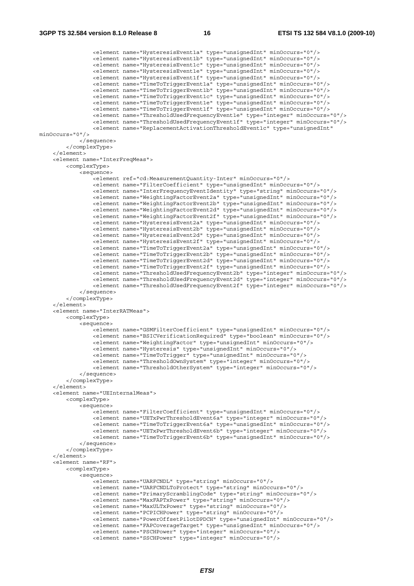<element name="HysteresisEvent1a" type="unsignedInt" minOccurs="0"/> <element name="HysteresisEvent1b" type="unsignedInt" minOccurs="0"/> <element name="HysteresisEvent1c" type="unsignedInt" minOccurs="0"/> <element name="HysteresisEvent1e" type="unsignedInt" minOccurs="0"/> <element name="HysteresisEvent1f" type="unsignedInt" minOccurs="0"/> <element name="TimeToTriggerEvent1a" type="unsignedInt" minOccurs="0"/> <element name="TimeToTriggerEvent1b" type="unsignedInt" minOccurs="0"/> <element name="TimeToTriggerEvent1c" type="unsignedInt" minOccurs="0"/> <element name="TimeToTriggerEvent1e" type="unsignedInt" minOccurs="0"/> <element name="TimeToTriggerEvent1f" type="unsignedInt" minOccurs="0"/> <element name="ThresholdUsedFrequencyEvent1e" type="integer" minOccurs="0"/> <element name="ThresholdUsedFrequencyEvent1f" type="integer" minOccurs="0"/> <element name="ReplacementActivationThresholdEvent1c" type="unsignedInt" minOccurs="0"/> </sequence> </complexType> </element> <element name="InterFreqMeas"> <complexType> <sequence> <element ref="cd:MeasurementQuantity-Inter" minOccurs="0"/> <element name="FilterCoefficient" type="unsignedInt" minOccurs="0"/> <element name="InterFrequencyEventIdentity" type="string" minOccurs="0"/> <element name="WeightingFactorEvent2a" type="unsignedInt" minOccurs="0"/> <element name="WeightingFactorEvent2b" type="unsignedInt" minOccurs="0"/> <element name="WeightingFactorEvent2d" type="unsignedInt" minOccurs="0"/> <element name="WeightingFactorEvent2f" type="unsignedInt" minOccurs="0"/> <element name="HysteresisEvent2a" type="unsignedInt" minOccurs="0"/> <element name="HysteresisEvent2b" type="unsignedInt" minOccurs="0"/> <element name="HysteresisEvent2d" type="unsignedInt" minOccurs="0"/> <element name="HysteresisEvent2f" type="unsignedInt" minOccurs="0"/> <element name="TimeToTriggerEvent2a" type="unsignedInt" minOccurs="0"/> <element name="TimeToTriggerEvent2b" type="unsignedInt" minOccurs="0"/> <element name="TimeToTriggerEvent2d" type="unsignedInt" minOccurs="0"/> <element name="TimeToTriggerEvent2f" type="unsignedInt" minOccurs="0"/> <element name="ThresholdUsedFrequencyEvent2b" type="integer" minOccurs="0"/> <element name="ThresholdUsedFrequencyEvent2d" type="integer" minOccurs="0"/> <element name="ThresholdUsedFrequencyEvent2f" type="integer" minOccurs="0"/> </sequence> </complexType> </element> <element name="InterRATMeas"> <complexType> <sequence> <element name="GSMFilterCoefficient" type="unsignedInt" minOccurs="0"/> <element name="BSICVerificationRequired" type="boolean" minOccurs="0"/> <element name="WeightingFactor" type="unsignedInt" minOccurs="0"/> <element name="Hysteresis" type="unsignedInt" minOccurs="0"/> <element name="TimeToTrigger" type="unsignedInt" minOccurs="0"/> <element name="ThresholdOwnSystem" type="integer" minOccurs="0"/> <element name="ThresholdOtherSystem" type="integer" minOccurs="0"/> </sequence> </complexType> </element> <element name="UEInternalMeas"> <complexType> <sequence> <element name="FilterCoefficient" type="unsignedInt" minOccurs="0"/> <element name="UETxPwrThresholdEvent6a" type="integer" minOccurs="0"/> <element name="TimeToTriggerEvent6a" type="unsignedInt" minOccurs="0"/> <element name="UETxPwrThresholdEvent6b" type="integer" minOccurs="0"/> <element name="TimeToTriggerEvent6b" type="unsignedInt" minOccurs="0"/> </sequence> </complexType>  $\epsilon$ /elements <element name="RF"> <complexType> <sequence> <element name="UARFCNDL" type="string" minOccurs="0"/> <element name="UARFCNDLToProtect" type="string" minOccurs="0"/> <element name="PrimaryScramblingCode" type="string" minOccurs="0"/> <element name="MaxFAPTxPower" type="string" minOccurs="0"/> <element name="MaxULTxPower" type="string" minOccurs="0"/> <element name="PCPICHPower" type="string" minOccurs="0"/> <element name="PowerOffsetPilotDPDCH" type="unsignedInt" minOccurs="0"/> <element name="FAPCoverageTarget" type="unsignedInt" minOccurs="0"/> <element name="PSCHPower" type="integer" minOccurs="0"/> <element name="SSCHPower" type="integer" minOccurs="0"/>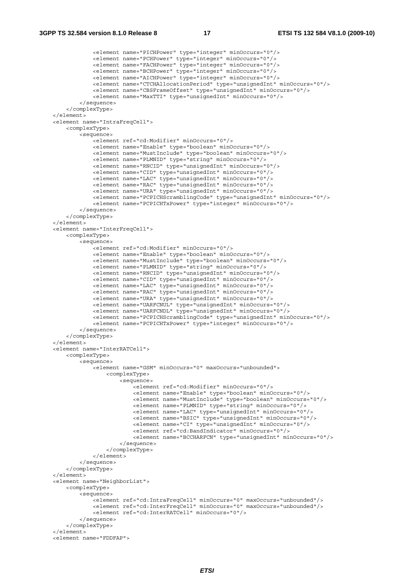```
 <element name="PICHPower" type="integer" minOccurs="0"/> 
                 <element name="PCHPower" type="integer" minOccurs="0"/> 
                 <element name="FACHPower" type="integer" minOccurs="0"/> 
 <element name="BCHPower" type="integer" minOccurs="0"/> 
 <element name="AICHPower" type="integer" minOccurs="0"/> 
                 <element name="CTCHAllocationPeriod" type="unsignedInt" minOccurs="0"/> 
                 <element name="CBSFrameOffset" type="unsignedInt" minOccurs="0"/> 
                 <element name="MaxTTI" type="unsignedInt" minOccurs="0"/> 
             </sequence> 
         </complexType> 
    </element> 
    <element name="IntraFreqCell"> 
         <complexType> 
             <sequence> 
                 <element ref="cd:Modifier" minOccurs="0"/> 
                 <element name="Enable" type="boolean" minOccurs="0"/> 
                 <element name="MustInclude" type="boolean" minOccurs="0"/> 
                 <element name="PLMNID" type="string" minOccurs="0"/> 
                 <element name="RNCID" type="unsignedInt" minOccurs="0"/> 
                 <element name="CID" type="unsignedInt" minOccurs="0"/> 
                 <element name="LAC" type="unsignedInt" minOccurs="0"/> 
                 <element name="RAC" type="unsignedInt" minOccurs="0"/> 
                 <element name="URA" type="unsignedInt" minOccurs="0"/> 
                 <element name="PCPICHScramblingCode" type="unsignedInt" minOccurs="0"/> 
                 <element name="PCPICHTxPower" type="integer" minOccurs="0"/> 
             </sequence> 
         </complexType> 
     </element> 
    <element name="InterFreqCell"> 
         <complexType> 
             <sequence> 
                 <element ref="cd:Modifier" minOccurs="0"/> 
                 <element name="Enable" type="boolean" minOccurs="0"/> 
                 <element name="MustInclude" type="boolean" minOccurs="0"/> 
                 <element name="PLMNID" type="string" minOccurs="0"/> 
                 <element name="RNCID" type="unsignedInt" minOccurs="0"/> 
                 <element name="CID" type="unsignedInt" minOccurs="0"/> 
                 <element name="LAC" type="unsignedInt" minOccurs="0"/> 
                 <element name="RAC" type="unsignedInt" minOccurs="0"/> 
                 <element name="URA" type="unsignedInt" minOccurs="0"/> 
                 <element name="UARFCNUL" type="unsignedInt" minOccurs="0"/> 
                 <element name="UARFCNDL" type="unsignedInt" minOccurs="0"/> 
                 <element name="PCPICHScramblingCode" type="unsignedInt" minOccurs="0"/> 
                 <element name="PCPICHTxPower" type="integer" minOccurs="0"/> 
             </sequence> 
         </complexType> 
    </element> 
     <element name="InterRATCell"> 
         <complexType> 
             <sequence> 
                 <element name="GSM" minOccurs="0" maxOccurs="unbounded"> 
                     <complexType> 
                         <sequence> 
                              <element ref="cd:Modifier" minOccurs="0"/> 
                              <element name="Enable" type="boolean" minOccurs="0"/> 
                              <element name="MustInclude" type="boolean" minOccurs="0"/> 
                              <element name="PLMNID" type="string" minOccurs="0"/> 
                              <element name="LAC" type="unsignedInt" minOccurs="0"/> 
                              <element name="BSIC" type="unsignedInt" minOccurs="0"/> 
                              <element name="CI" type="unsignedInt" minOccurs="0"/> 
                              <element ref="cd:BandIndicator" minOccurs="0"/> 
                              <element name="BCCHARFCN" type="unsignedInt" minOccurs="0"/> 
                         </sequence> 
                      </complexType> 
                 </element> 
             </sequence> 
         </complexType> 
    </element> 
    <element name="NeighborList"> 
         <complexType> 
             <sequence> 
                .<br><element ref="cd:IntraFreqCell" minOccurs="0" maxOccurs="unbounded"/>
                 <element ref="cd:InterFreqCell" minOccurs="0" maxOccurs="unbounded"/> 
                 <element ref="cd:InterRATCell" minOccurs="0"/> 
             </sequence> 
         </complexType> 
     </element> 
     <element name="FDDFAP">
```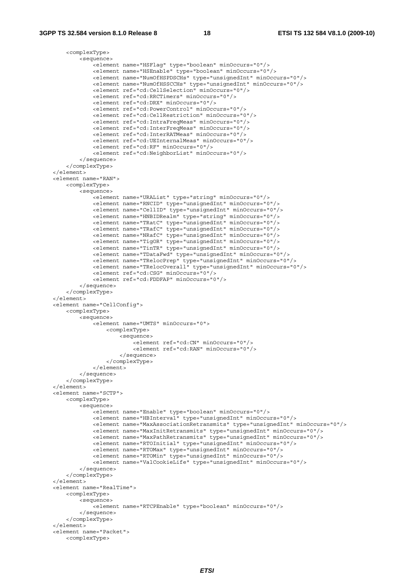```
 <complexType> 
             <sequence> 
                .<br><element name="HSFlag" type="boolean" minOccurs="0"/>
                 <element name="HSEnable" type="boolean" minOccurs="0"/> 
                 <element name="NumOfHSPDSCHs" type="unsignedInt" minOccurs="0"/> 
                 <element name="NumOfHSSCCHs" type="unsignedInt" minOccurs="0"/> 
                 <element ref="cd:CellSelection" minOccurs="0"/> 
                 <element ref="cd:RRCTimers" minOccurs="0"/> 
                 <element ref="cd:DRX" minOccurs="0"/> 
                 <element ref="cd:PowerControl" minOccurs="0"/> 
                 <element ref="cd:CellRestriction" minOccurs="0"/> 
                 <element ref="cd:IntraFreqMeas" minOccurs="0"/> 
                 <element ref="cd:InterFreqMeas" minOccurs="0"/> 
                 <element ref="cd:InterRATMeas" minOccurs="0"/> 
                 <element ref="cd:UEInternalMeas" minOccurs="0"/> 
                 <element ref="cd:RF" minOccurs="0"/> 
                 <element ref="cd:NeighborList" minOccurs="0"/> 
             </sequence> 
         </complexType> 
    </element> 
    <element name="RAN"> 
        <complexType> 
             <sequence> 
                 <element name="URAList" type="string" minOccurs="0"/> 
 <element name="RNCID" type="unsignedInt" minOccurs="0"/> 
 <element name="CellID" type="unsignedInt" minOccurs="0"/> 
                 <element name="HNBIDRealm" type="string" minOccurs="0"/> 
                 <element name="TRatC" type="unsignedInt" minOccurs="0"/> 
                 <element name="TRafC" type="unsignedInt" minOccurs="0"/> 
 <element name="NRafC" type="unsignedInt" minOccurs="0"/> 
 <element name="TigOR" type="unsignedInt" minOccurs="0"/> 
                 <element name="TinTR" type="unsignedInt" minOccurs="0"/> 
                 <element name="TDataFwd" type="unsignedInt" minOccurs="0"/> 
                 <element name="TRelocPrep" type="unsignedInt" minOccurs="0"/> 
                 <element name="TRelocOverall" type="unsignedInt" minOccurs="0"/> 
                 <element ref="cd:CSG" minOccurs="0"/> 
                 <element ref="cd:FDDFAP" minOccurs="0"/> 
            </sequence> 
         </complexType> 
    </element> 
    <element name="CellConfig"> 
        <complexType> 
            <sequence> 
                 <element name="UMTS" minOccurs="0"> 
                     <complexType> 
                         <sequence> 
                             <element ref="cd:CN" minOccurs="0"/> 
                             <element ref="cd:RAN" minOccurs="0"/> 
                         </sequence> 
                     </complexType> 
                 </element> 
            </sequence> 
         </complexType> 
    </element> 
    <element name="SCTP"> 
        <complexType> 
             <sequence> 
                 <element name="Enable" type="boolean" minOccurs="0"/> 
                 <element name="HBInterval" type="unsignedInt" minOccurs="0"/> 
                 <element name="MaxAssociationRetransmits" type="unsignedInt" minOccurs="0"/> 
 <element name="MaxInitRetransmits" type="unsignedInt" minOccurs="0"/> 
 <element name="MaxPathRetransmits" type="unsignedInt" minOccurs="0"/> 
                 <element name="RTOInitial" type="unsignedInt" minOccurs="0"/> 
 <element name="RTOMax" type="unsignedInt" minOccurs="0"/> 
 <element name="RTOMin" type="unsignedInt" minOccurs="0"/> 
                 <element name="ValCookieLife" type="unsignedInt" minOccurs="0"/> 
             </sequence> 
        </complexType> 
    </element> 
    <element name="RealTime"> 
        <complexType> 
            <sequence> 
               -<br><element name="RTCPEnable" type="boolean" minOccurs="0"/>
            </sequence> 
         </complexType> 
    </element> 
    <element name="Packet"> 
        <complexType>
```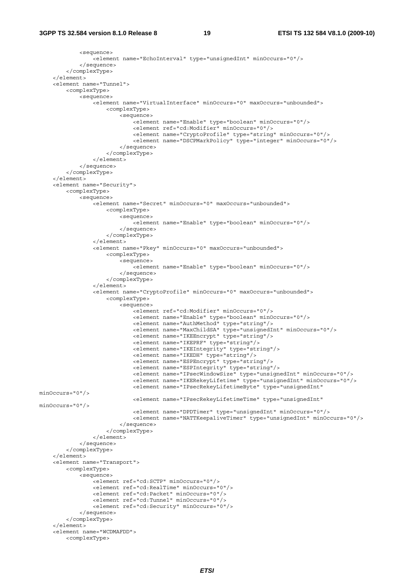#### **3GPP TS 32.584 version 8.1.0 Release 8 19 ETSI TS 132 584 V8.1.0 (2009-10)**

```
 <sequence> 
                 .<br><element name="EchoInterval" type="unsignedInt" minOccurs="0"/>
              </sequence> 
         </complexType> 
     </element> 
     <element name="Tunnel"> 
         <complexType> 
              <sequence> 
                 .<br><element name="VirtualInterface" minOccurs="0" maxOccurs="unbounded">
                      <complexType> 
                           <sequence> 
                               <element name="Enable" type="boolean" minOccurs="0"/> 
                               <element ref="cd:Modifier" minOccurs="0"/> 
                               <element name="CryptoProfile" type="string" minOccurs="0"/> 
                               <element name="DSCPMarkPolicy" type="integer" minOccurs="0"/> 
                           </sequence> 
                       </complexType> 
                  </element> 
              </sequence> 
         </complexType> 
     </element> 
     <element name="Security"> 
         <complexType> 
              <sequence> 
                  <element name="Secret" minOccurs="0" maxOccurs="unbounded"> 
                      <complexType> 
                           <sequence> 
                               <element name="Enable" type="boolean" minOccurs="0"/> 
                           </sequence> 
                       </complexType> 
                  </element> 
                  <element name="Pkey" minOccurs="0" maxOccurs="unbounded"> 
                      <complexType> 
                           <sequence> 
                               <element name="Enable" type="boolean" minOccurs="0"/> 
                           </sequence> 
                       </complexType> 
                  </element> 
                  <element name="CryptoProfile" minOccurs="0" maxOccurs="unbounded"> 
                       <complexType> 
                           <sequence> 
                              .<br><element ref="cd:Modifier" minOccurs="0"/>
                               <element name="Enable" type="boolean" minOccurs="0"/> 
                               <element name="AuthMethod" type="string"/> 
                               <element name="MaxChildSA" type="unsignedInt" minOccurs="0"/> 
                               <element name="IKEEncrypt" type="string"/> 
                               <element name="IKEPRF" type="string"/> 
                               <element name="IKEIntegrity" type="string"/> 
                               <element name="IKEDH" type="string"/> 
                               <element name="ESPEncrypt" type="string"/> 
                               <element name="ESPIntegrity" type="string"/> 
                               <element name="IPsecWindowSize" type="unsignedInt" minOccurs="0"/> 
                               <element name="IKERekeyLifetime" type="unsignedInt" minOccurs="0"/> 
                               <element name="IPsecRekeyLifetimeByte" type="unsignedInt" 
minOccurs="0"/> 
                               <element name="IPsecRekeyLifetimeTime" type="unsignedInt" 
minOccurs="0"/> 
                               <element name="DPDTimer" type="unsignedInt" minOccurs="0"/> 
                               <element name="NATTKeepaliveTimer" type="unsignedInt" minOccurs="0"/> 
                           </sequence> 
                       </complexType> 
                  </element> 
              </sequence> 
         </complexType> 
    \epsilon/element>
     <element name="Transport"> 
         <complexType> 
              <sequence> 
                  <element ref="cd:SCTP" minOccurs="0"/> 
                  <element ref="cd:RealTime" minOccurs="0"/> 
                  <element ref="cd:Packet" minOccurs="0"/> 
                  <element ref="cd:Tunnel" minOccurs="0"/> 
                  <element ref="cd:Security" minOccurs="0"/> 
              </sequence> 
          </complexType> 
     </element> 
     <element name="WCDMAFDD"> 
         <complexType>
```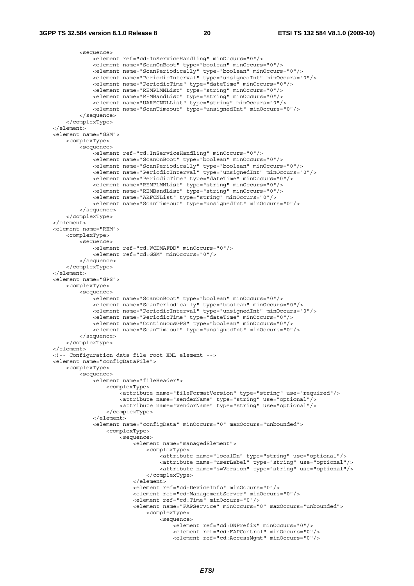<sequence> <element ref="cd:InServiceHandling" minOccurs="0"/> <element name="ScanOnBoot" type="boolean" minOccurs="0"/> <element name="ScanPeriodically" type="boolean" minOccurs="0"/> <element name="PeriodicInterval" type="unsignedInt" minOccurs="0"/> <element name="PeriodicTime" type="dateTime" minOccurs="0"/> <element name="REMPLMNList" type="string" minOccurs="0"/> <element name="REMBandList" type="string" minOccurs="0"/> <element name="UARFCNDLList" type="string" minOccurs="0"/> <element name="ScanTimeout" type="unsignedInt" minOccurs="0"/> </sequence> </complexType> </element> <element name="GSM"> <complexType> <sequence> <element ref="cd:InServiceHandling" minOccurs="0"/> <element name="ScanOnBoot" type="boolean" minOccurs="0"/> <element name="ScanPeriodically" type="boolean" minOccurs="0"/> <element name="PeriodicInterval" type="unsignedInt" minOccurs="0"/> <element name="PeriodicTime" type="dateTime" minOccurs="0"/> <element name="REMPLMNList" type="string" minOccurs="0"/> <element name="REMBandList" type="string" minOccurs="0"/> <element name="ARFCNList" type="string" minOccurs="0"/> <element name="ScanTimeout" type="unsignedInt" minOccurs="0"/> </sequence> </complexType> </element> <element name="REM"> <complexType> <sequence> <element ref="cd:WCDMAFDD" minOccurs="0"/> <element ref="cd:GSM" minOccurs="0"/> </sequence> </complexType> </element> <element name="GPS"> <complexType> <sequence> <element name="ScanOnBoot" type="boolean" minOccurs="0"/> <element name="ScanPeriodically" type="boolean" minOccurs="0"/> <element name="PeriodicInterval" type="unsignedInt" minOccurs="0"/> <element name="PeriodicTime" type="dateTime" minOccurs="0"/> <element name="ContinuousGPS" type="boolean" minOccurs="0"/> <element name="ScanTimeout" type="unsignedInt" minOccurs="0"/> </sequence> </complexType> </element> <!-- Configuration data file root XML element --> <element name="configDataFile"> <complexType> <sequence> <element name="fileHeader"> <complexType> <attribute name="fileFormatVersion" type="string" use="required"/> <attribute name="senderName" type="string" use="optional"/> <attribute name="vendorName" type="string" use="optional"/> </complexType> </element> <element name="configData" minOccurs="0" maxOccurs="unbounded"> <complexType> <sequence> <element name="managedElement"> <complexType> <attribute name="localDn" type="string" use="optional"/> <attribute name="userLabel" type="string" use="optional"/> <attribute name="swVersion" type="string" use="optional"/> </complexType> </element> <element ref="cd:DeviceInfo" minOccurs="0"/> <element ref="cd:ManagementServer" minOccurs="0"/> <element ref="cd:Time" minOccurs="0"/> <element name="FAPService" minOccurs="0" maxOccurs="unbounded"> <complexType> <sequence> -<br><element ref="cd:DNPrefix" minOccurs="0"/> <element ref="cd:FAPControl" minOccurs="0"/> <element ref="cd:AccessMgmt" minOccurs="0"/>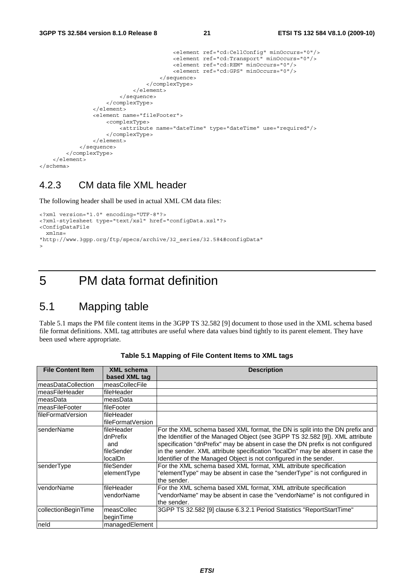```
 <element ref="cd:CellConfig" minOccurs="0"/> 
                                         <element ref="cd:Transport" minOccurs="0"/> 
                                         <element ref="cd:REM" minOccurs="0"/> 
                                         <element ref="cd:GPS" minOccurs="0"/> 
                                     </sequence> 
                                </complexType> 
                           </element> 
                       </sequence> 
                   </complexType> 
              </element> 
              <element name="fileFooter"> 
                  <complexType> 
                       <attribute name="dateTime" type="dateTime" use="required"/> 
                   </complexType> 
              </element> 
         </sequence> 
     </complexType> 
\epsilon/element>
```

```
</schema>
```
### 4.2.3 CM data file XML header

The following header shall be used in actual XML CM data files:

```
<?xml version="1.0" encoding="UTF-8"?> 
<?xml-stylesheet type="text/xsl" href="configData.xsl"?> 
<ConfigDataFile 
  xmlns= 
"http://www.3gpp.org/ftp/specs/archive/32_series/32.584#configData" 
>
```
### 5 PM data format definition

### 5.1 Mapping table

Table 5.1 maps the PM file content items in the 3GPP TS 32.582 [9] document to those used in the XML schema based file format definitions. XML tag attributes are useful where data values bind tightly to its parent element. They have been used where appropriate.

| <b>File Content Item</b>  | <b>XML</b> schema<br>based XML tag                     | <b>Description</b>                                                                                                                                                                                                                                                                                                                                                                                   |
|---------------------------|--------------------------------------------------------|------------------------------------------------------------------------------------------------------------------------------------------------------------------------------------------------------------------------------------------------------------------------------------------------------------------------------------------------------------------------------------------------------|
| <b>measDataCollection</b> | measCollecFile                                         |                                                                                                                                                                                                                                                                                                                                                                                                      |
| <b>ImeasFileHeader</b>    | fileHeader                                             |                                                                                                                                                                                                                                                                                                                                                                                                      |
| measData                  | measData                                               |                                                                                                                                                                                                                                                                                                                                                                                                      |
| ImeasFileFooter           | fileFooter                                             |                                                                                                                                                                                                                                                                                                                                                                                                      |
| lfileFormatVersion        | fileHeader<br>fileFormatVersion                        |                                                                                                                                                                                                                                                                                                                                                                                                      |
| IsenderName               | fileHeader<br>dnPrefix<br>and<br>fileSender<br>localDn | For the XML schema based XML format, the DN is split into the DN prefix and<br>the Identifier of the Managed Object (see 3GPP TS 32.582 [9]). XML attribute<br>specification "dnPrefix" may be absent in case the DN prefix is not configured<br>in the sender. XML attribute specification "localDn" may be absent in case the<br>Identifier of the Managed Object is not configured in the sender. |
| senderType                | fileSender<br>elementType                              | For the XML schema based XML format, XML attribute specification<br>"elementType" may be absent in case the "senderType" is not configured in<br>the sender.                                                                                                                                                                                                                                         |
| <u>lvendorName</u>        | fileHeader<br>vendorName                               | For the XML schema based XML format, XML attribute specification<br>"vendorName" may be absent in case the "vendorName" is not configured in<br>the sender.                                                                                                                                                                                                                                          |
| collectionBeginTime       | measCollec<br>beginTime                                | 3GPP TS 32.582 [9] clause 6.3.2.1 Period Statistics "ReportStartTime"                                                                                                                                                                                                                                                                                                                                |
| neld                      | managedElement                                         |                                                                                                                                                                                                                                                                                                                                                                                                      |

**Table 5.1 Mapping of File Content Items to XML tags**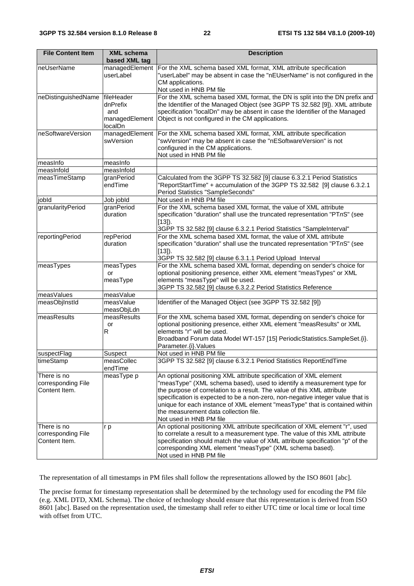| <b>File Content Item</b>                           | <b>XML schema</b><br>based XML tag           | <b>Description</b>                                                                                                                                                                                                                                                                                                                                                                                                                                           |
|----------------------------------------------------|----------------------------------------------|--------------------------------------------------------------------------------------------------------------------------------------------------------------------------------------------------------------------------------------------------------------------------------------------------------------------------------------------------------------------------------------------------------------------------------------------------------------|
| neUserName                                         | managedElement<br>userLabel                  | For the XML schema based XML format, XML attribute specification<br>"userLabel" may be absent in case the "nEUserName" is not configured in the<br>CM applications.<br>Not used in HNB PM file                                                                                                                                                                                                                                                               |
| neDistinguishedName fileHeader                     | dnPrefix<br>and<br>managedElement<br>localDn | For the XML schema based XML format, the DN is split into the DN prefix and<br>the Identifier of the Managed Object (see 3GPP TS 32.582 [9]). XML attribute<br>specification "localDn" may be absent in case the Identifier of the Managed<br>Object is not configured in the CM applications.                                                                                                                                                               |
| neSoftwareVersion                                  | managedElement<br>swVersion                  | For the XML schema based XML format, XML attribute specification<br>"swVersion" may be absent in case the "nESoftwareVersion" is not<br>configured in the CM applications.<br>Not used in HNB PM file                                                                                                                                                                                                                                                        |
| measinfo                                           | measinfo                                     |                                                                                                                                                                                                                                                                                                                                                                                                                                                              |
| measInfold                                         | measInfold                                   |                                                                                                                                                                                                                                                                                                                                                                                                                                                              |
| measTimeStamp                                      | granPeriod<br>endTime                        | Calculated from the 3GPP TS 32.582 [9] clause 6.3.2.1 Period Statistics<br>"ReportStartTime" + accumulation of the 3GPP TS 32.582 [9] clause 6.3.2.1<br>Period Statistics "SampleSeconds"                                                                                                                                                                                                                                                                    |
| jobld                                              | Job jobld                                    | Not used in HNB PM file                                                                                                                                                                                                                                                                                                                                                                                                                                      |
| granularityPeriod                                  | granPeriod<br>duration                       | For the XML schema based XML format, the value of XML attribute<br>specification "duration" shall use the truncated representation "PTnS" (see<br>$[13]$ ).<br>3GPP TS 32.582 [9] clause 6.3.2.1 Period Statistics "SampleInterval"                                                                                                                                                                                                                          |
| reportingPeriod                                    | repPeriod<br>duration                        | For the XML schema based XML format, the value of XML attribute<br>specification "duration" shall use the truncated representation "PTnS" (see<br>$[13]$ .<br>3GPP TS 32.582 [9] clause 6.3.1.1 Period Upload Interval                                                                                                                                                                                                                                       |
| measTypes                                          | measTypes<br>or<br>measType                  | For the XML schema based XML format, depending on sender's choice for<br>optional positioning presence, either XML element "measTypes" or XML<br>elements "measType" will be used.<br>3GPP TS 32.582 [9] clause 6.3.2.2 Period Statistics Reference                                                                                                                                                                                                          |
| measValues                                         | measValue                                    |                                                                                                                                                                                                                                                                                                                                                                                                                                                              |
| measObjInstId                                      | measValue<br>measObjLdn                      | Identifier of the Managed Object (see 3GPP TS 32.582 [9])                                                                                                                                                                                                                                                                                                                                                                                                    |
| measResults                                        | measResults<br>or<br>R                       | For the XML schema based XML format, depending on sender's choice for<br>optional positioning presence, either XML element "measResults" or XML<br>elements "r" will be used.<br>Broadband Forum data Model WT-157 [15] PeriodicStatistics.SampleSet.{i}.<br>Parameter.{i}.Values                                                                                                                                                                            |
| suspectFlag                                        | Suspect                                      | Not used in HNB PM file                                                                                                                                                                                                                                                                                                                                                                                                                                      |
| timeStamp                                          | measCollec<br>endTime                        | 3GPP TS 32.582 [9] clause 6.3.2.1 Period Statistics ReportEndTime                                                                                                                                                                                                                                                                                                                                                                                            |
| There is no<br>corresponding File<br>Content Item. | measType p                                   | An optional positioning XML attribute specification of XML element<br>"measType" (XML schema based), used to identify a measurement type for<br>the purpose of correlation to a result. The value of this XML attribute<br>specification is expected to be a non-zero, non-negative integer value that is<br>unique for each instance of XML element "measType" that is contained within<br>the measurement data collection file.<br>Not used in HNB PM file |
| There is no<br>corresponding File<br>Content Item. | r p                                          | An optional positioning XML attribute specification of XML element "r", used<br>to correlate a result to a measurement type. The value of this XML attribute<br>specification should match the value of XML attribute specification "p" of the<br>corresponding XML element "measType" (XML schema based).<br>Not used in HNB PM file                                                                                                                        |

The representation of all timestamps in PM files shall follow the representations allowed by the ISO 8601 [abc].

The precise format for timestamp representation shall be determined by the technology used for encoding the PM file (e.g. XML DTD, XML Schema). The choice of technology should ensure that this representation is derived from ISO 8601 [abc]. Based on the representation used, the timestamp shall refer to either UTC time or local time or local time with offset from UTC.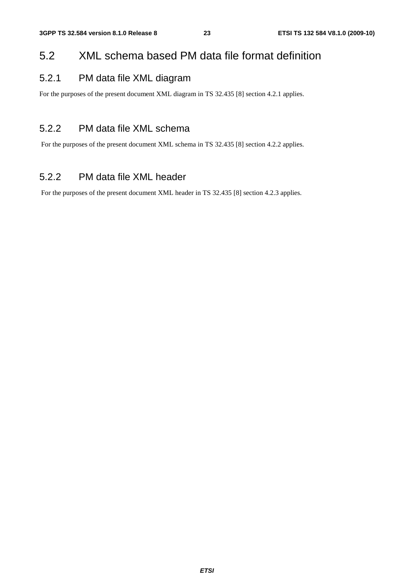### 5.2 XML schema based PM data file format definition

### 5.2.1 PM data file XML diagram

For the purposes of the present document XML diagram in TS 32.435 [8] section 4.2.1 applies.

### 5.2.2 PM data file XML schema

For the purposes of the present document XML schema in TS 32.435 [8] section 4.2.2 applies.

### 5.2.2 PM data file XML header

For the purposes of the present document XML header in TS 32.435 [8] section 4.2.3 applies.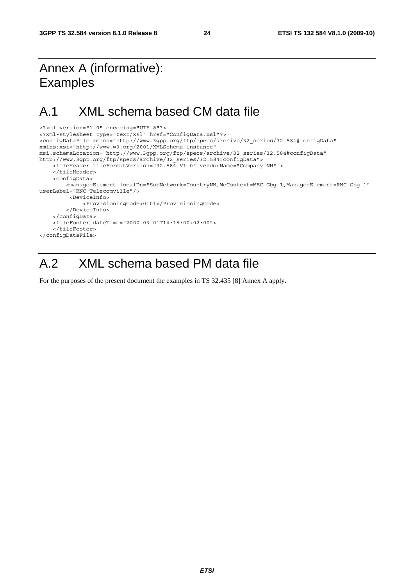### Annex A (informative): Examples

### A.1 XML schema based CM data file

```
<?xml version="1.0" encoding="UTF-8"?> 
<?xml-stylesheet type="text/xsl" href="ConfigData.xsl"?> 
<configDataFile xmlns="http://www.3gpp.org/ftp/specs/archive/32_series/32.584# onfigData" 
xmlns:xsi="http://www.w3.org/2001/XMLSchema-instance" 
xsi:schemaLocation="http://www.3gpp.org/ftp/specs/archive/32_series/32.584#configData" 
http://www.3gpp.org/ftp/specs/archive/32_series/32.584#configData"> 
     <fileHeader fileFormatVersion="32.584 V1.0" vendorName="Company NN" > 
     </fileHeader> 
     <configData> 
         <managedElement localDn="SubNetwork=CountryNN,MeContext=MEC-Gbg-1,ManagedElement=RNC-Gbg-1" 
userLabel="RNC Telecomville"/> 
          <DeviceInfo> 
              <ProvisioningCode>0101</ProvisioningCode> 
         </DeviceInfo> 
     </configData> 
     <fileFooter dateTime="2000-03-01T14:15:00+02:00"> 
     </fileFooter> 
</configDataFile>
```
### A.2 XML schema based PM data file

For the purposes of the present document the examples in TS 32.435 [8] Annex A apply.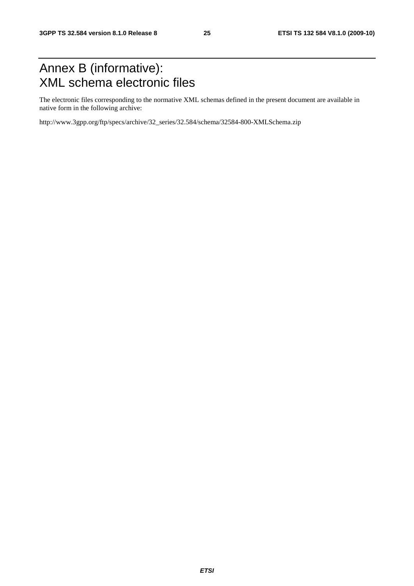### Annex B (informative): XML schema electronic files

The electronic files corresponding to the normative XML schemas defined in the present document are available in native form in the following archive:

http://www.3gpp.org/ftp/specs/archive/32\_series/32.584/schema/32584-800-XMLSchema.zip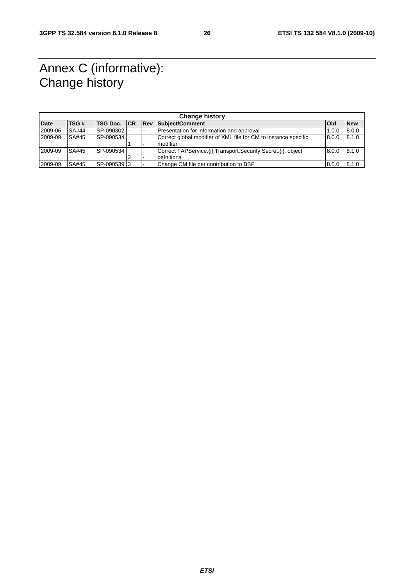### Annex C (informative): Change history

| <b>Change history</b> |       |                     |  |             |                                                                                      |       |            |
|-----------------------|-------|---------------------|--|-------------|--------------------------------------------------------------------------------------|-------|------------|
| <b>Date</b>           | TSG#  | <b>TSG Doc.</b> ICR |  | <b>IRev</b> | Subject/Comment                                                                      | lOld  | <b>New</b> |
| 2009-06               | SA#44 | SP-090302           |  | $-$         | Presentation for information and approval                                            | 1.0.0 | 8.0.0      |
| 2009-09               | SA#45 | SP-090534           |  |             | Correct global modifier of XML file for CM to instance specific<br><b>I</b> modifier | 8.0.0 | 8.1.0      |
| 2009-09               | SA#45 | SP-090534           |  |             | Correct FAPService. (i). Transport. Security. Secret. (i). object<br>defnitions      | 8.0.0 | 8.1.0      |
| 2009-09               | SA#45 | SP-090539 3         |  |             | Change CM file per contribution to BBF                                               | 8.0.0 | 8.1.0      |